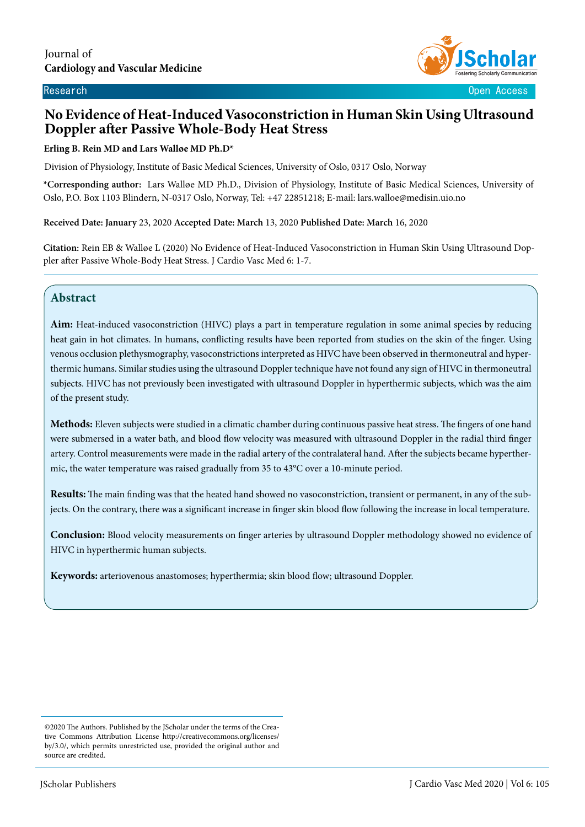

Research Open Access

# **No Evidence of Heat-Induced Vasoconstriction in Human Skin Using Ultrasound Doppler after Passive Whole-Body Heat Stress**

#### **Erling B. Rein MD and Lars Walløe MD Ph.D\***

Division of Physiology, Institute of Basic Medical Sciences, University of Oslo, 0317 Oslo, Norway

**\*Corresponding author:** Lars Walløe MD Ph.D., Division of Physiology, Institute of Basic Medical Sciences, University of Oslo, P.O. Box 1103 Blindern, N-0317 Oslo, Norway, Tel: +47 22851218; E-mail: lars.walloe@medisin.uio.no

**Received Date: January** 23, 2020 **Accepted Date: March** 13, 2020 **Published Date: March** 16, 2020

**Citation:** Rein EB & Walløe L (2020) No Evidence of Heat-Induced Vasoconstriction in Human Skin Using Ultrasound Doppler after Passive Whole-Body Heat Stress. J Cardio Vasc Med 6: 1-7.

# **Abstract**

 $\overline{\phantom{a}}$ 

**Aim:** Heat-induced vasoconstriction (HIVC) plays a part in temperature regulation in some animal species by reducing heat gain in hot climates. In humans, conflicting results have been reported from studies on the skin of the finger. Using venous occlusion plethysmography, vasoconstrictions interpreted as HIVC have been observed in thermoneutral and hyperthermic humans. Similar studies using the ultrasound Doppler technique have not found any sign of HIVC in thermoneutral subjects. HIVC has not previously been investigated with ultrasound Doppler in hyperthermic subjects, which was the aim of the present study.

**Methods:** Eleven subjects were studied in a climatic chamber during continuous passive heat stress. The fingers of one hand were submersed in a water bath, and blood flow velocity was measured with ultrasound Doppler in the radial third finger artery. Control measurements were made in the radial artery of the contralateral hand. After the subjects became hyperthermic, the water temperature was raised gradually from 35 to 43°C over a 10-minute period.

**Results:** The main finding was that the heated hand showed no vasoconstriction, transient or permanent, in any of the subjects. On the contrary, there was a significant increase in finger skin blood flow following the increase in local temperature.

**Conclusion:** Blood velocity measurements on finger arteries by ultrasound Doppler methodology showed no evidence of HIVC in hyperthermic human subjects.

**Keywords:** arteriovenous anastomoses; hyperthermia; skin blood flow; ultrasound Doppler.

<sup>©2020</sup> The Authors. Published by the JScholar under the terms of the Creative Commons Attribution License http://creativecommons.org/licenses/ by/3.0/, which permits unrestricted use, provided the original author and source are credited.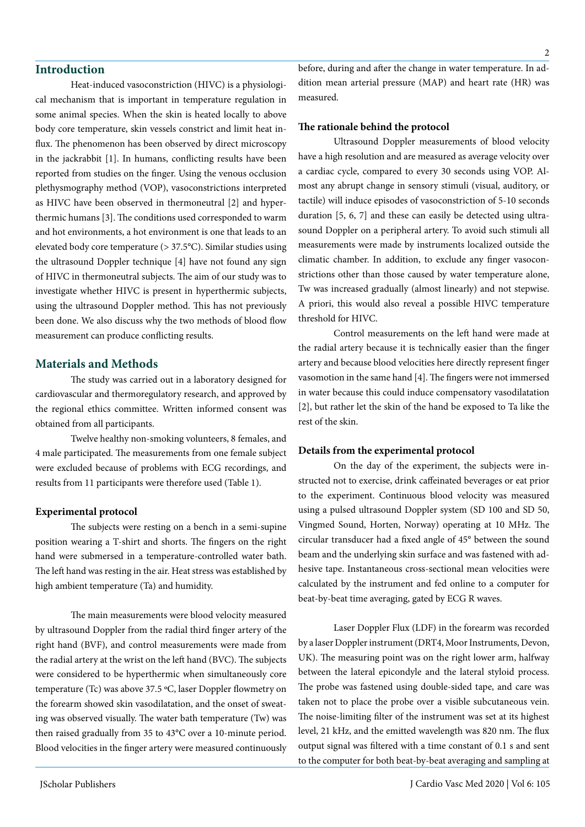# **Introduction**

Heat-induced vasoconstriction (HIVC) is a physiological mechanism that is important in temperature regulation in some animal species. When the skin is heated locally to above body core temperature, skin vessels constrict and limit heat influx. The phenomenon has been observed by direct microscopy in the jackrabbit [1]. In humans, conflicting results have been reported from studies on the finger. Using the venous occlusion plethysmography method (VOP), vasoconstrictions interpreted as HIVC have been observed in thermoneutral [2] and hyperthermic humans [3]. The conditions used corresponded to warm and hot environments, a hot environment is one that leads to an elevated body core temperature (> 37.5°C). Similar studies using the ultrasound Doppler technique [4] have not found any sign of HIVC in thermoneutral subjects. The aim of our study was to investigate whether HIVC is present in hyperthermic subjects, using the ultrasound Doppler method. This has not previously been done. We also discuss why the two methods of blood flow measurement can produce conflicting results.

# **Materials and Methods**

The study was carried out in a laboratory designed for cardiovascular and thermoregulatory research, and approved by the regional ethics committee. Written informed consent was obtained from all participants.

Twelve healthy non-smoking volunteers, 8 females, and 4 male participated. The measurements from one female subject were excluded because of problems with ECG recordings, and results from 11 participants were therefore used (Table 1).

#### **Experimental protocol**

The subjects were resting on a bench in a semi-supine position wearing a T-shirt and shorts. The fingers on the right hand were submersed in a temperature-controlled water bath. The left hand was resting in the air. Heat stress was established by high ambient temperature (Ta) and humidity.

The main measurements were blood velocity measured by ultrasound Doppler from the radial third finger artery of the right hand (BVF), and control measurements were made from the radial artery at the wrist on the left hand (BVC). The subjects were considered to be hyperthermic when simultaneously core temperature (Tc) was above 37.5 ºC, laser Doppler flowmetry on the forearm showed skin vasodilatation, and the onset of sweating was observed visually. The water bath temperature (Tw) was then raised gradually from 35 to 43°C over a 10-minute period. Blood velocities in the finger artery were measured continuously before, during and after the change in water temperature. In addition mean arterial pressure (MAP) and heart rate (HR) was measured.

#### **The rationale behind the protocol**

Ultrasound Doppler measurements of blood velocity have a high resolution and are measured as average velocity over a cardiac cycle, compared to every 30 seconds using VOP. Almost any abrupt change in sensory stimuli (visual, auditory, or tactile) will induce episodes of vasoconstriction of 5-10 seconds duration [5, 6, 7] and these can easily be detected using ultrasound Doppler on a peripheral artery. To avoid such stimuli all measurements were made by instruments localized outside the climatic chamber. In addition, to exclude any finger vasoconstrictions other than those caused by water temperature alone, Tw was increased gradually (almost linearly) and not stepwise. A priori, this would also reveal a possible HIVC temperature threshold for HIVC.

Control measurements on the left hand were made at the radial artery because it is technically easier than the finger artery and because blood velocities here directly represent finger vasomotion in the same hand [4]. The fingers were not immersed in water because this could induce compensatory vasodilatation [2], but rather let the skin of the hand be exposed to Ta like the rest of the skin.

#### **Details from the experimental protocol**

On the day of the experiment, the subjects were instructed not to exercise, drink caffeinated beverages or eat prior to the experiment. Continuous blood velocity was measured using a pulsed ultrasound Doppler system (SD 100 and SD 50, Vingmed Sound, Horten, Norway) operating at 10 MHz. The circular transducer had a fixed angle of 45° between the sound beam and the underlying skin surface and was fastened with adhesive tape. Instantaneous cross-sectional mean velocities were calculated by the instrument and fed online to a computer for beat-by-beat time averaging, gated by ECG R waves.

Laser Doppler Flux (LDF) in the forearm was recorded by a laser Doppler instrument (DRT4, Moor Instruments, Devon, UK). The measuring point was on the right lower arm, halfway between the lateral epicondyle and the lateral styloid process. The probe was fastened using double-sided tape, and care was taken not to place the probe over a visible subcutaneous vein. The noise-limiting filter of the instrument was set at its highest level, 21 kHz, and the emitted wavelength was 820 nm. The flux output signal was filtered with a time constant of 0.1 s and sent to the computer for both beat-by-beat averaging and sampling at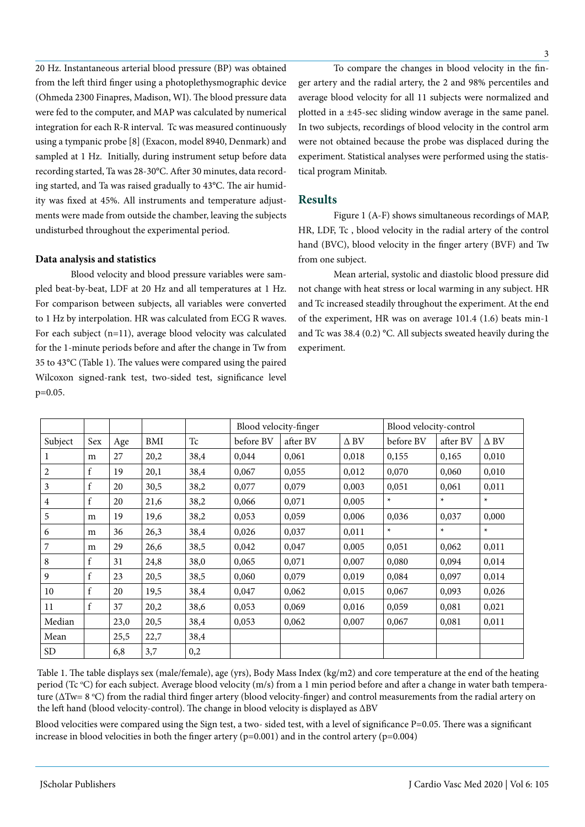20 Hz. Instantaneous arterial blood pressure (BP) was obtained from the left third finger using a photoplethysmographic device (Ohmeda 2300 Finapres, Madison, WI). The blood pressure data were fed to the computer, and MAP was calculated by numerical integration for each R-R interval. Tc was measured continuously using a tympanic probe [8] (Exacon, model 8940, Denmark) and sampled at 1 Hz. Initially, during instrument setup before data recording started, Ta was 28-30°C. After 30 minutes, data recording started, and Ta was raised gradually to 43°C. The air humidity was fixed at 45%. All instruments and temperature adjustments were made from outside the chamber, leaving the subjects undisturbed throughout the experimental period.

## **Data analysis and statistics**

Blood velocity and blood pressure variables were sampled beat-by-beat, LDF at 20 Hz and all temperatures at 1 Hz. For comparison between subjects, all variables were converted to 1 Hz by interpolation. HR was calculated from ECG R waves. For each subject (n=11), average blood velocity was calculated for the 1-minute periods before and after the change in Tw from 35 to 43°C (Table 1). The values were compared using the paired Wilcoxon signed-rank test, two-sided test, significance level p=0.05.

To compare the changes in blood velocity in the finger artery and the radial artery, the 2 and 98% percentiles and average blood velocity for all 11 subjects were normalized and plotted in a ±45-sec sliding window average in the same panel. In two subjects, recordings of blood velocity in the control arm were not obtained because the probe was displaced during the experiment. Statistical analyses were performed using the statistical program Minitab.

## **Results**

Figure 1 (A-F) shows simultaneous recordings of MAP, HR, LDF, Tc , blood velocity in the radial artery of the control hand (BVC), blood velocity in the finger artery (BVF) and Tw from one subject.

Mean arterial, systolic and diastolic blood pressure did not change with heat stress or local warming in any subject. HR and Tc increased steadily throughout the experiment. At the end of the experiment, HR was on average 101.4 (1.6) beats min-1 and Tc was 38.4 (0.2) °C. All subjects sweated heavily during the experiment.

|         |             |      |      |      | Blood velocity-finger |          |             | Blood velocity-control |          |             |
|---------|-------------|------|------|------|-----------------------|----------|-------------|------------------------|----------|-------------|
| Subject | Sex         | Age  | BMI  | Tc   | before BV             | after BV | $\Delta$ BV | before BV              | after BV | $\Delta$ BV |
|         | m           | 27   | 20,2 | 38,4 | 0,044                 | 0,061    | 0,018       | 0,155                  | 0,165    | 0,010       |
| 2       | f           | 19   | 20,1 | 38,4 | 0,067                 | 0,055    | 0,012       | 0,070                  | 0,060    | 0,010       |
| 3       | $\mathbf f$ | 20   | 30,5 | 38,2 | 0,077                 | 0,079    | 0,003       | 0,051                  | 0,061    | 0,011       |
| 4       | $\mathbf f$ | 20   | 21,6 | 38,2 | 0,066                 | 0,071    | 0,005       | $\star$                | $\star$  | $\ast$      |
| 5       | m           | 19   | 19,6 | 38,2 | 0,053                 | 0,059    | 0,006       | 0,036                  | 0,037    | 0,000       |
| 6       | m           | 36   | 26,3 | 38,4 | 0,026                 | 0,037    | 0,011       | $\ast$                 | $\ast$   | $\star$     |
| 7       | m           | 29   | 26,6 | 38,5 | 0,042                 | 0,047    | 0,005       | 0,051                  | 0,062    | 0,011       |
| 8       | f           | 31   | 24,8 | 38,0 | 0,065                 | 0,071    | 0,007       | 0,080                  | 0,094    | 0,014       |
| 9       | $\rm f$     | 23   | 20,5 | 38,5 | 0,060                 | 0,079    | 0,019       | 0,084                  | 0,097    | 0,014       |
| 10      | f           | 20   | 19,5 | 38,4 | 0,047                 | 0,062    | 0,015       | 0,067                  | 0,093    | 0,026       |
| 11      | $\mathbf f$ | 37   | 20,2 | 38,6 | 0,053                 | 0,069    | 0,016       | 0,059                  | 0,081    | 0,021       |
| Median  |             | 23,0 | 20,5 | 38,4 | 0,053                 | 0,062    | 0,007       | 0,067                  | 0,081    | 0,011       |
| Mean    |             | 25,5 | 22,7 | 38,4 |                       |          |             |                        |          |             |
| SD      |             | 6,8  | 3,7  | 0,2  |                       |          |             |                        |          |             |

Table 1. The table displays sex (male/female), age (yrs), Body Mass Index (kg/m2) and core temperature at the end of the heating period (Tc °C) for each subject. Average blood velocity (m/s) from a 1 min period before and after a change in water bath temperature ( $\Delta\text{Tw}=8$  °C) from the radial third finger artery (blood velocity-finger) and control measurements from the radial artery on the left hand (blood velocity-control). The change in blood velocity is displayed as ΔBV

Blood velocities were compared using the Sign test, a two- sided test, with a level of significance P=0.05. There was a significant increase in blood velocities in both the finger artery  $(p=0.001)$  and in the control artery  $(p=0.004)$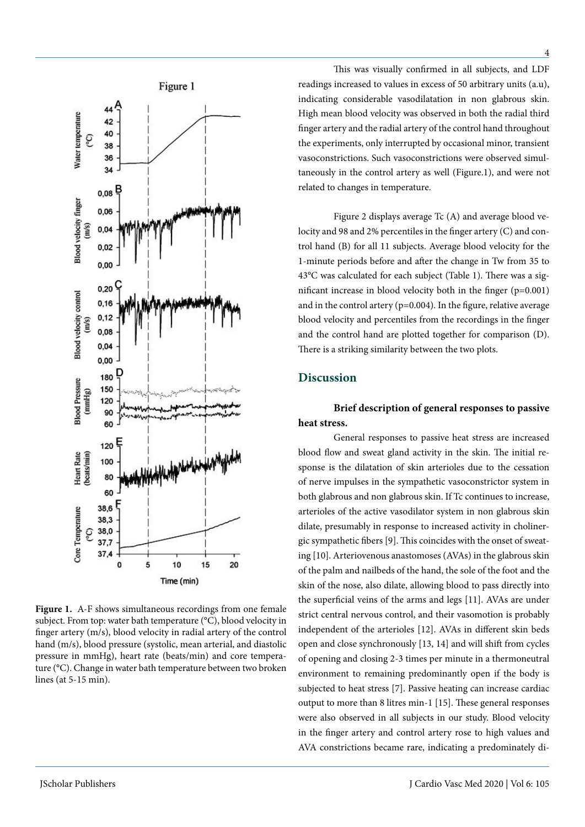

**Figure 1.** A-F shows simultaneous recordings from one female subject. From top: water bath temperature (°C), blood velocity in finger artery (m/s), blood velocity in radial artery of the control hand (m/s), blood pressure (systolic, mean arterial, and diastolic pressure in mmHg), heart rate (beats/min) and core temperature (°C). Change in water bath temperature between two broken lines (at 5-15 min).

This was visually confirmed in all subjects, and LDF readings increased to values in excess of 50 arbitrary units (a.u), indicating considerable vasodilatation in non glabrous skin. High mean blood velocity was observed in both the radial third finger artery and the radial artery of the control hand throughout the experiments, only interrupted by occasional minor, transient vasoconstrictions. Such vasoconstrictions were observed simultaneously in the control artery as well (Figure.1), and were not related to changes in temperature.

Figure 2 displays average Tc (A) and average blood velocity and 98 and 2% percentiles in the finger artery (C) and control hand (B) for all 11 subjects. Average blood velocity for the 1-minute periods before and after the change in Tw from 35 to 43°C was calculated for each subject (Table 1). There was a significant increase in blood velocity both in the finger (p=0.001) and in the control artery (p=0.004). In the figure, relative average blood velocity and percentiles from the recordings in the finger and the control hand are plotted together for comparison (D). There is a striking similarity between the two plots.

# **Discussion**

**Brief description of general responses to passive heat stress.**

General responses to passive heat stress are increased blood flow and sweat gland activity in the skin. The initial response is the dilatation of skin arterioles due to the cessation of nerve impulses in the sympathetic vasoconstrictor system in both glabrous and non glabrous skin. If Tc continues to increase, arterioles of the active vasodilator system in non glabrous skin dilate, presumably in response to increased activity in cholinergic sympathetic fibers [9]. This coincides with the onset of sweating [10]. Arteriovenous anastomoses (AVAs) in the glabrous skin of the palm and nailbeds of the hand, the sole of the foot and the skin of the nose, also dilate, allowing blood to pass directly into the superficial veins of the arms and legs [11]. AVAs are under strict central nervous control, and their vasomotion is probably independent of the arterioles [12]. AVAs in different skin beds open and close synchronously [13, 14] and will shift from cycles of opening and closing 2-3 times per minute in a thermoneutral environment to remaining predominantly open if the body is subjected to heat stress [7]. Passive heating can increase cardiac output to more than 8 litres min-1 [15]. These general responses were also observed in all subjects in our study. Blood velocity in the finger artery and control artery rose to high values and AVA constrictions became rare, indicating a predominately di-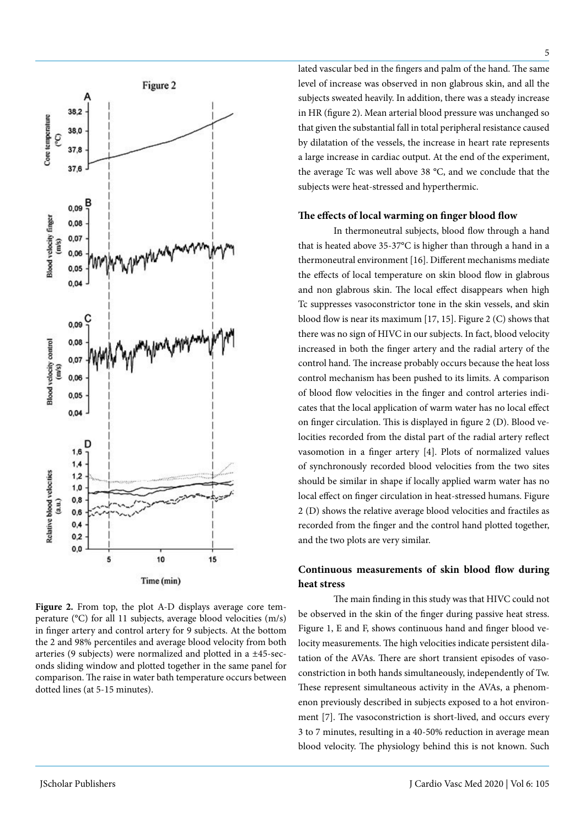

**Figure 2.** From top, the plot A-D displays average core temperature (°C) for all 11 subjects, average blood velocities (m/s) in finger artery and control artery for 9 subjects. At the bottom the 2 and 98% percentiles and average blood velocity from both arteries (9 subjects) were normalized and plotted in a ±45-seconds sliding window and plotted together in the same panel for comparison. The raise in water bath temperature occurs between dotted lines (at 5-15 minutes).

lated vascular bed in the fingers and palm of the hand. The same level of increase was observed in non glabrous skin, and all the subjects sweated heavily. In addition, there was a steady increase in HR (figure 2). Mean arterial blood pressure was unchanged so that given the substantial fall in total peripheral resistance caused by dilatation of the vessels, the increase in heart rate represents a large increase in cardiac output. At the end of the experiment, the average Tc was well above 38 °C, and we conclude that the subjects were heat-stressed and hyperthermic.

#### **The effects of local warming on finger blood flow**

In thermoneutral subjects, blood flow through a hand that is heated above 35-37°C is higher than through a hand in a thermoneutral environment [16]. Different mechanisms mediate the effects of local temperature on skin blood flow in glabrous and non glabrous skin. The local effect disappears when high Tc suppresses vasoconstrictor tone in the skin vessels, and skin blood flow is near its maximum [17, 15]. Figure 2 (C) shows that there was no sign of HIVC in our subjects. In fact, blood velocity increased in both the finger artery and the radial artery of the control hand. The increase probably occurs because the heat loss control mechanism has been pushed to its limits. A comparison of blood flow velocities in the finger and control arteries indicates that the local application of warm water has no local effect on finger circulation. This is displayed in figure 2 (D). Blood velocities recorded from the distal part of the radial artery reflect vasomotion in a finger artery [4]. Plots of normalized values of synchronously recorded blood velocities from the two sites should be similar in shape if locally applied warm water has no local effect on finger circulation in heat-stressed humans. Figure 2 (D) shows the relative average blood velocities and fractiles as recorded from the finger and the control hand plotted together, and the two plots are very similar.

# **Continuous measurements of skin blood flow during heat stress**

The main finding in this study was that HIVC could not be observed in the skin of the finger during passive heat stress. Figure 1, E and F, shows continuous hand and finger blood velocity measurements. The high velocities indicate persistent dilatation of the AVAs. There are short transient episodes of vasoconstriction in both hands simultaneously, independently of Tw. These represent simultaneous activity in the AVAs, a phenomenon previously described in subjects exposed to a hot environment [7]. The vasoconstriction is short-lived, and occurs every 3 to 7 minutes, resulting in a 40-50% reduction in average mean blood velocity. The physiology behind this is not known. Such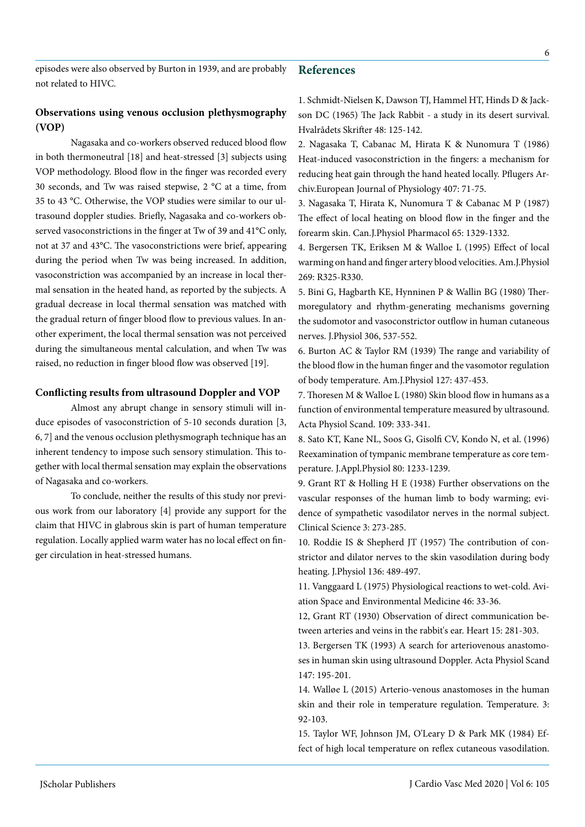## **References**

# **Observations using venous occlusion plethysmography (VOP)**

Nagasaka and co-workers observed reduced blood flow in both thermoneutral [18] and heat-stressed [3] subjects using VOP methodology. Blood flow in the finger was recorded every 30 seconds, and Tw was raised stepwise, 2 °C at a time, from 35 to 43 °C. Otherwise, the VOP studies were similar to our ultrasound doppler studies. Briefly, Nagasaka and co-workers observed vasoconstrictions in the finger at Tw of 39 and 41°C only, not at 37 and 43°C. The vasoconstrictions were brief, appearing during the period when Tw was being increased. In addition, vasoconstriction was accompanied by an increase in local thermal sensation in the heated hand, as reported by the subjects. A gradual decrease in local thermal sensation was matched with the gradual return of finger blood flow to previous values. In another experiment, the local thermal sensation was not perceived during the simultaneous mental calculation, and when Tw was raised, no reduction in finger blood flow was observed [19].

### **Conflicting results from ultrasound Doppler and VOP**

Almost any abrupt change in sensory stimuli will induce episodes of vasoconstriction of 5-10 seconds duration [3, 6, 7] and the venous occlusion plethysmograph technique has an inherent tendency to impose such sensory stimulation. This together with local thermal sensation may explain the observations of Nagasaka and co-workers.

To conclude, neither the results of this study nor previous work from our laboratory [4] provide any support for the claim that HIVC in glabrous skin is part of human temperature regulation. Locally applied warm water has no local effect on finger circulation in heat-stressed humans.

1. Schmidt-Nielsen K, Dawson TJ, Hammel HT, Hinds D & Jackson DC (1965) The Jack Rabbit - a study in its desert survival. Hvalrådets Skrifter 48: 125-142.

2. Nagasaka T, Cabanac M, Hirata K & Nunomura T (1986) Heat-induced vasoconstriction in the fingers: a mechanism for reducing heat gain through the hand heated locally. Pflugers Archiv.European Journal of Physiology 407: 71-75.

3. Nagasaka T, Hirata K, Nunomura T & Cabanac M P (1987) The effect of local heating on blood flow in the finger and the forearm skin. Can.J.Physiol Pharmacol 65: 1329-1332.

4. Bergersen TK, Eriksen M & Walloe L (1995) Effect of local warming on hand and finger artery blood velocities. Am.J.Physiol 269: R325-R330.

5. Bini G, Hagbarth KE, Hynninen P & Wallin BG (1980) Thermoregulatory and rhythm-generating mechanisms governing the sudomotor and vasoconstrictor outflow in human cutaneous nerves. J.Physiol 306, 537-552.

6. Burton AC & Taylor RM (1939) The range and variability of the blood flow in the human finger and the vasomotor regulation of body temperature. Am.J.Physiol 127: 437-453.

7. Thoresen M & Walloe L (1980) Skin blood flow in humans as a function of environmental temperature measured by ultrasound. Acta Physiol Scand. 109: 333-341.

8. Sato KT, Kane NL, Soos G, Gisolfi CV, Kondo N, et al. (1996) Reexamination of tympanic membrane temperature as core temperature. J.Appl.Physiol 80: 1233-1239.

9. Grant RT & Holling H E (1938) Further observations on the vascular responses of the human limb to body warming; evidence of sympathetic vasodilator nerves in the normal subject. Clinical Science 3: 273-285.

10. Roddie IS & Shepherd JT (1957) The contribution of constrictor and dilator nerves to the skin vasodilation during body heating. J.Physiol 136: 489-497.

11. Vanggaard L (1975) Physiological reactions to wet-cold. Aviation Space and Environmental Medicine 46: 33-36.

12, Grant RT (1930) Observation of direct communication between arteries and veins in the rabbit's ear. Heart 15: 281-303.

13. Bergersen TK (1993) A search for arteriovenous anastomoses in human skin using ultrasound Doppler. Acta Physiol Scand 147: 195-201.

14. Walløe L (2015) Arterio-venous anastomoses in the human skin and their role in temperature regulation. Temperature. 3: 92-103.

15. Taylor WF, Johnson JM, O'Leary D & Park MK (1984) Effect of high local temperature on reflex cutaneous vasodilation.